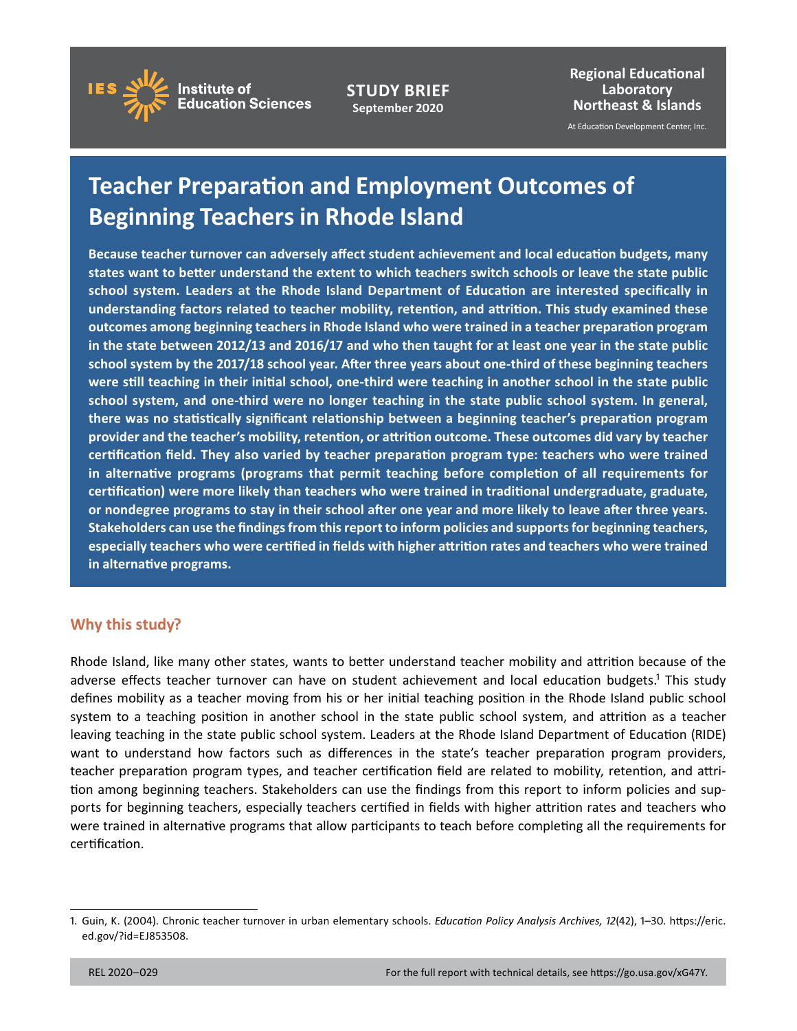

**STUDY BRIEF September 2020** 

**Regional Educational Laboratory Northeast & Islands** 

At Education Development Center, Inc.

# **Teacher Preparation and Employment Outcomes of Beginning Teachers in Rhode Island**

 **states want to better understand the extent to which teachers switch schools or leave the state public school system. Leaders at the Rhode Island Department of Education are interested specifically in understanding factors related to teacher mobility, retention, and attrition. This study examined these were still teaching in their initial school, one-third were teaching in another school in the state public school system, and one-third were no longer teaching in the state public school system. In general, there was no statistically significant relationship between a beginning teacher's preparation program in alternative programs (programs that permit teaching before completion of all requirements for certification) were more likely than teachers who were trained in traditional undergraduate, graduate, or nondegree programs to stay in their school after one year and more likely to leave after three years. in alternative programs. Because teacher turnover can adversely affect student achievement and local education budgets, many outcomes among beginning teachers in Rhode Island who were trained in a teacher preparation program in the state between 2012/13 and 2016/17 and who then taught for at least one year in the state public school system by the 2017/18 school year. After three years about one-third of these beginning teachers provider and the teacher's mobility, retention, or attrition outcome. These outcomes did vary by teacher certification field. They also varied by teacher preparation program type: teachers who were trained Stakeholders can use the findings from this report to inform policies and supports for beginning teachers, especially teachers who were certified in fields with higher attrition rates and teachers who were trained** 

### **Why this study?**

Rhode Island, like many other states, wants to better understand teacher mobility and attrition because of the adverse effects teacher turnover can have on student achievement and local education budgets.<sup>1</sup> This study defines mobility as a teacher moving from his or her initial teaching position in the Rhode Island public school system to a teaching position in another school in the state public school system, and attrition as a teacher leaving teaching in the state public school system. Leaders at the Rhode Island Department of Education (RIDE) want to understand how factors such as differences in the state's teacher preparation program providers, teacher preparation program types, and teacher certification field are related to mobility, retention, and attrition among beginning teachers. Stakeholders can use the findings from this report to inform policies and supports for beginning teachers, especially teachers certified in fields with higher attrition rates and teachers who were trained in alternative programs that allow participants to teach before completing all the requirements for certification.

 1. Guin, K. (2004). Chronic teacher turnover in urban elementary schools. *Education Policy Analysis Archives, 12*(42), 1–30. [https://eric.](https://eric.ed.gov/?id=EJ853508)  [ed.gov/?id=EJ853508.](https://eric.ed.gov/?id=EJ853508)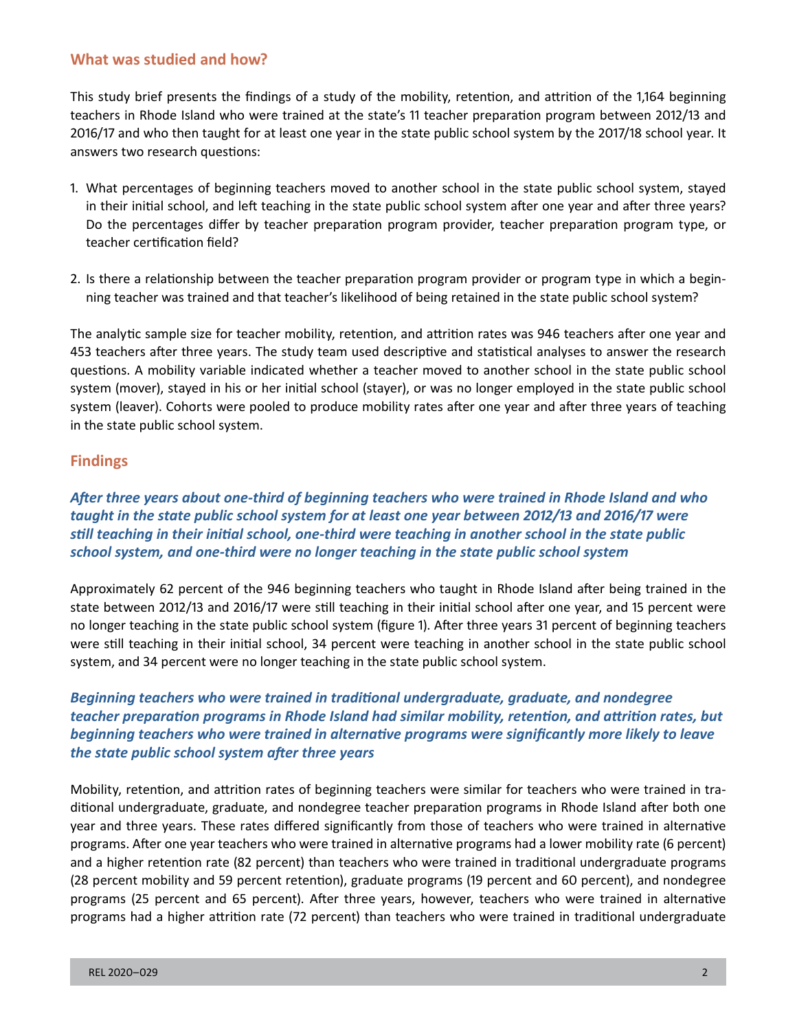#### **What was studied and how?**

This study brief presents the findings of a study of the mobility, retention, and attrition of the 1,164 beginning teachers in Rhode Island who were trained at the state's 11 teacher preparation program between 2012/13 and 2016/17 and who then taught for at least one year in the state public school system by the 2017/18 school year. It answers two research questions:

- 1. What percentages of beginning teachers moved to another school in the state public school system, stayed in their initial school, and left teaching in the state public school system after one year and after three years? Do the percentages differ by teacher preparation program provider, teacher preparation program type, or teacher certification field?
- 2. Is there a relationship between the teacher preparation program provider or program type in which a beginning teacher was trained and that teacher's likelihood of being retained in the state public school system?

The analytic sample size for teacher mobility, retention, and attrition rates was 946 teachers after one year and 453 teachers after three years. The study team used descriptive and statistical analyses to answer the research questions. A mobility variable indicated whether a teacher moved to another school in the state public school system (mover), stayed in his or her initial school (stayer), or was no longer employed in the state public school system (leaver). Cohorts were pooled to produce mobility rates after one year and after three years of teaching in the state public school system.

### **Findings**

*After three years about one-third of beginning teachers who were trained in Rhode Island and who taught in the state public school system for at least one year between 2012/13 and 2016/17 were still teaching in their initial school, one-third were teaching in another school in the state public school system, and one-third were no longer teaching in the state public school system* 

Approximately 62 percent of the 946 beginning teachers who taught in Rhode Island after being trained in the state between 2012/13 and 2016/17 were still teaching in their initial school after one year, and 15 percent were no longer teaching in the state public school system (figure 1). After three years 31 percent of beginning teachers were still teaching in their initial school, 34 percent were teaching in another school in the state public school system, and 34 percent were no longer teaching in the state public school system.

# *Beginning teachers who were trained in traditional undergraduate, graduate, and nondegree teacher preparation programs in Rhode Island had similar mobility, retention, and attrition rates, but beginning teachers who were trained in alternative programs were significantly more likely to leave the state public school system after three years*

Mobility, retention, and attrition rates of beginning teachers were similar for teachers who were trained in traditional undergraduate, graduate, and nondegree teacher preparation programs in Rhode Island after both one year and three years. These rates differed significantly from those of teachers who were trained in alternative programs. After one year teachers who were trained in alternative programs had a lower mobility rate (6 percent) and a higher retention rate (82 percent) than teachers who were trained in traditional undergraduate programs (28 percent mobility and 59 percent retention), graduate programs (19 percent and 60 percent), and nondegree programs (25 percent and 65 percent). After three years, however, teachers who were trained in alternative programs had a higher attrition rate (72 percent) than teachers who were trained in traditional undergraduate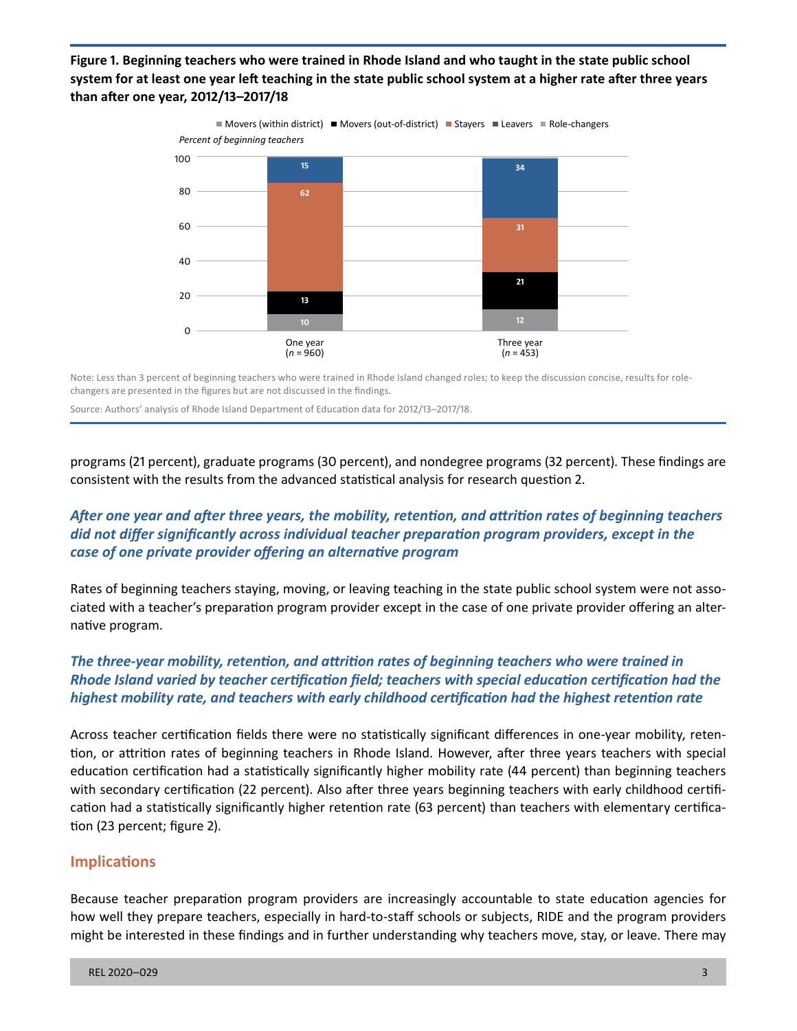**Figure 1. Beginning teachers who were trained in Rhode Island and who taught in the state public school system for at least one year left teaching in the state public school system at a higher rate after three years than after one year, 2012/13–2017/18** 



Note: Less than 3 percent of beginning teachers who were trained in Rhode Island changed roles; to keep the discussion concise, results for rolechangers are presented in the figures but are not discussed in the findings.

Source: Authors' analysis of Rhode Island Department of Education data for 2012/13–2017/18.

programs (21 percent), graduate programs (30 percent), and nondegree programs (32 percent). These findings are consistent with the results from the advanced statistical analysis for research question 2.

# *After one year and after three years, the mobility, retention, and attrition rates of beginning teachers did not differ significantly across individual teacher preparation program providers, except in the case of one private provider offering an alternative program*

Rates of beginning teachers staying, moving, or leaving teaching in the state public school system were not associated with a teacher's preparation program provider except in the case of one private provider offering an alternative program.

# *The three-year mobility, retention, and attrition rates of beginning teachers who were trained in Rhode Island varied by teacher certification field; teachers with special education certification had the highest mobility rate, and teachers with early childhood certification had the highest retention rate*

 cation had a statistically significantly higher retention rate (63 percent) than teachers with elementary certifica-Across teacher certification fields there were no statistically significant differences in one-year mobility, retention, or attrition rates of beginning teachers in Rhode Island. However, after three years teachers with special education certification had a statistically significantly higher mobility rate (44 percent) than beginning teachers with secondary certification (22 percent). Also after three years beginning teachers with early childhood certifition (23 percent; figure 2).

### **Implications**

Because teacher preparation program providers are increasingly accountable to state education agencies for how well they prepare teachers, especially in hard-to-staff schools or subjects, RIDE and the program providers might be interested in these findings and in further understanding why teachers move, stay, or leave. There may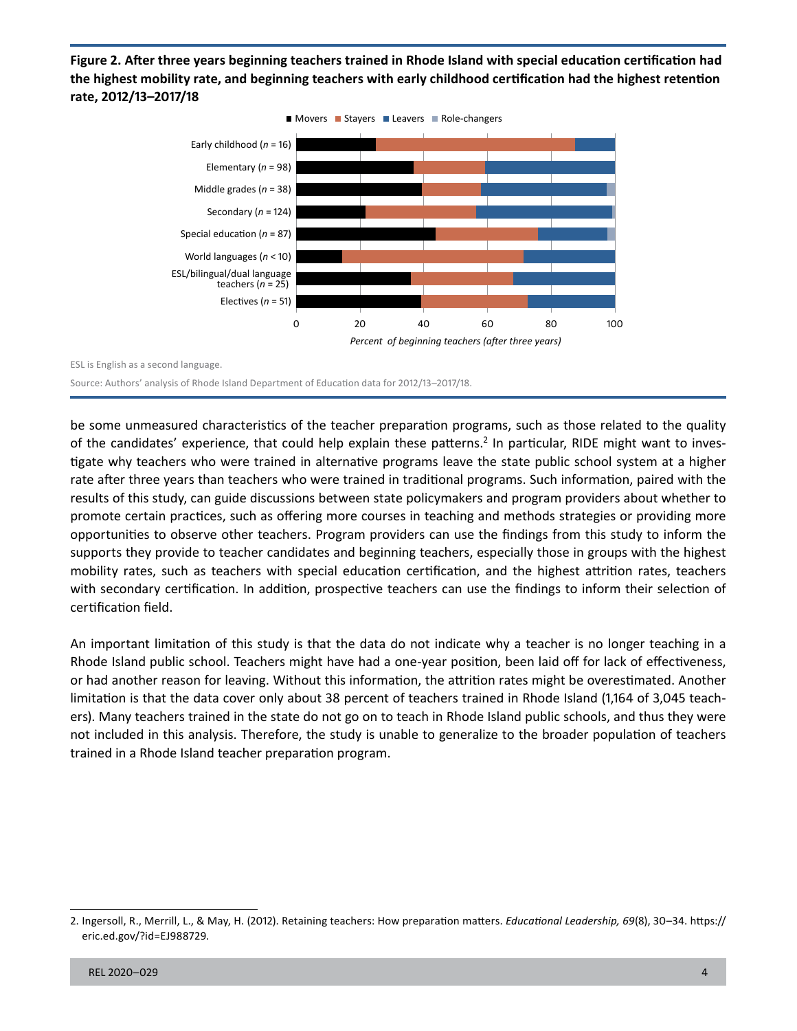**Figure 2. After three years beginning teachers trained in Rhode Island with special education certification had the highest mobility rate, and beginning teachers with early childhood certification had the highest retention rate, 2012/13–2017/18** 



ESL is English as a second language.

Source: Authors' analysis of Rhode Island Department of Education data for 2012/13–2017/18.

be some unmeasured characteristics of the teacher preparation programs, such as those related to the quality of the candidates' experience, that could help explain these patterns.<sup>2</sup> In particular, RIDE might want to investigate why teachers who were trained in alternative programs leave the state public school system at a higher rate after three years than teachers who were trained in traditional programs. Such information, paired with the results of this study, can guide discussions between state policymakers and program providers about whether to promote certain practices, such as offering more courses in teaching and methods strategies or providing more opportunities to observe other teachers. Program providers can use the findings from this study to inform the supports they provide to teacher candidates and beginning teachers, especially those in groups with the highest mobility rates, such as teachers with special education certification, and the highest attrition rates, teachers with secondary certification. In addition, prospective teachers can use the findings to inform their selection of certification field.

An important limitation of this study is that the data do not indicate why a teacher is no longer teaching in a Rhode Island public school. Teachers might have had a one-year position, been laid off for lack of effectiveness, or had another reason for leaving. Without this information, the attrition rates might be overestimated. Another limitation is that the data cover only about 38 percent of teachers trained in Rhode Island (1,164 of 3,045 teachers). Many teachers trained in the state do not go on to teach in Rhode Island public schools, and thus they were not included in this analysis. Therefore, the study is unable to generalize to the broader population of teachers trained in a Rhode Island teacher preparation program.

 2. Ingersoll, R., Merrill, L., & May, H. (2012). Retaining teachers: How preparation matters. *Educational Leadership, 69*(8), 30–34. [https://](https://eric.ed.gov/?id=EJ988729)  [eric.ed.gov/?id=EJ988729](https://eric.ed.gov/?id=EJ988729).